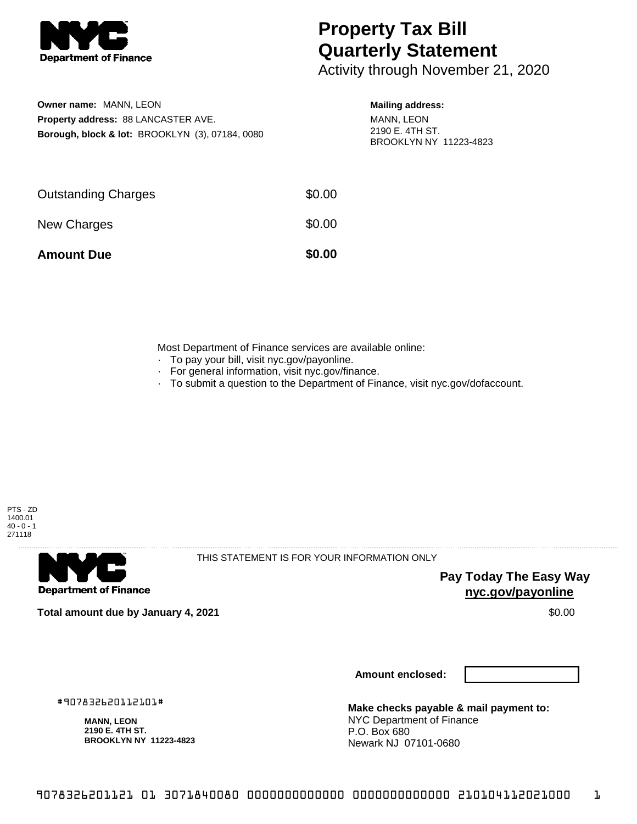

## **Property Tax Bill Quarterly Statement**

Activity through November 21, 2020

| <b>Owner name: MANN, LEON</b> |                                                            |
|-------------------------------|------------------------------------------------------------|
|                               | <b>Property address: 88 LANCASTER AVE.</b>                 |
|                               | <b>Borough, block &amp; lot: BROOKLYN (3), 07184, 0080</b> |

## **Mailing address:**

MANN, LEON 2190 E. 4TH ST. BROOKLYN NY 11223-4823

| <b>Amount Due</b>          | \$0.00 |
|----------------------------|--------|
| New Charges                | \$0.00 |
| <b>Outstanding Charges</b> | \$0.00 |

Most Department of Finance services are available online:

- · To pay your bill, visit nyc.gov/payonline.
- For general information, visit nyc.gov/finance.
- · To submit a question to the Department of Finance, visit nyc.gov/dofaccount.



**Department of Finance** 

THIS STATEMENT IS FOR YOUR INFORMATION ONLY

**Pay Today The Easy Way nyc.gov/payonline**

**Total amount due by January 4, 2021** \$0.00

**Amount enclosed:**

#907832620112101#

**MANN, LEON 2190 E. 4TH ST. BROOKLYN NY 11223-4823**

**Make checks payable & mail payment to:** NYC Department of Finance P.O. Box 680 Newark NJ 07101-0680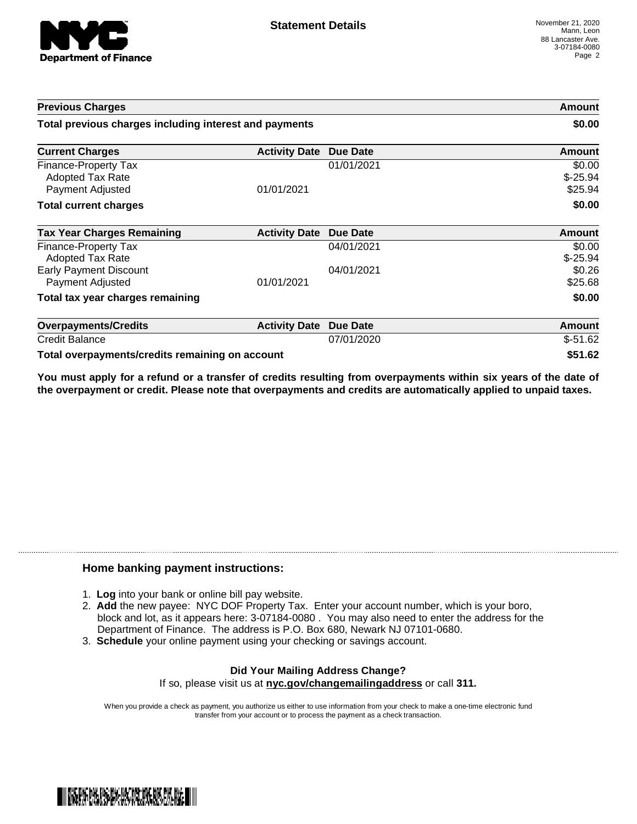

| <b>Previous Charges</b><br>Total previous charges including interest and payments |                      |                 | Amount<br>\$0.00               |
|-----------------------------------------------------------------------------------|----------------------|-----------------|--------------------------------|
|                                                                                   |                      |                 |                                |
| Finance-Property Tax<br><b>Adopted Tax Rate</b><br>Payment Adjusted               | 01/01/2021           | 01/01/2021      | \$0.00<br>$$-25.94$<br>\$25.94 |
| <b>Total current charges</b>                                                      |                      |                 | \$0.00                         |
| <b>Tax Year Charges Remaining</b>                                                 | <b>Activity Date</b> | Due Date        | Amount                         |
| Finance-Property Tax<br>Adopted Tax Rate                                          |                      | 04/01/2021      | \$0.00<br>$$-25.94$            |
| <b>Early Payment Discount</b><br>Payment Adjusted                                 | 01/01/2021           | 04/01/2021      | \$0.26<br>\$25.68              |
| Total tax year charges remaining                                                  |                      |                 | \$0.00                         |
| <b>Overpayments/Credits</b>                                                       | <b>Activity Date</b> | <b>Due Date</b> | Amount                         |
| <b>Credit Balance</b>                                                             |                      | 07/01/2020      | $$-51.62$                      |
| Total overpayments/credits remaining on account                                   |                      |                 | \$51.62                        |

You must apply for a refund or a transfer of credits resulting from overpayments within six years of the date of **the overpayment or credit. Please note that overpayments and credits are automatically applied to unpaid taxes.**

## **Home banking payment instructions:**

- 1. **Log** into your bank or online bill pay website.
- 2. **Add** the new payee: NYC DOF Property Tax. Enter your account number, which is your boro, block and lot, as it appears here: 3-07184-0080 . You may also need to enter the address for the Department of Finance. The address is P.O. Box 680, Newark NJ 07101-0680.
- 3. **Schedule** your online payment using your checking or savings account.

## **Did Your Mailing Address Change?** If so, please visit us at **nyc.gov/changemailingaddress** or call **311.**

When you provide a check as payment, you authorize us either to use information from your check to make a one-time electronic fund transfer from your account or to process the payment as a check transaction.